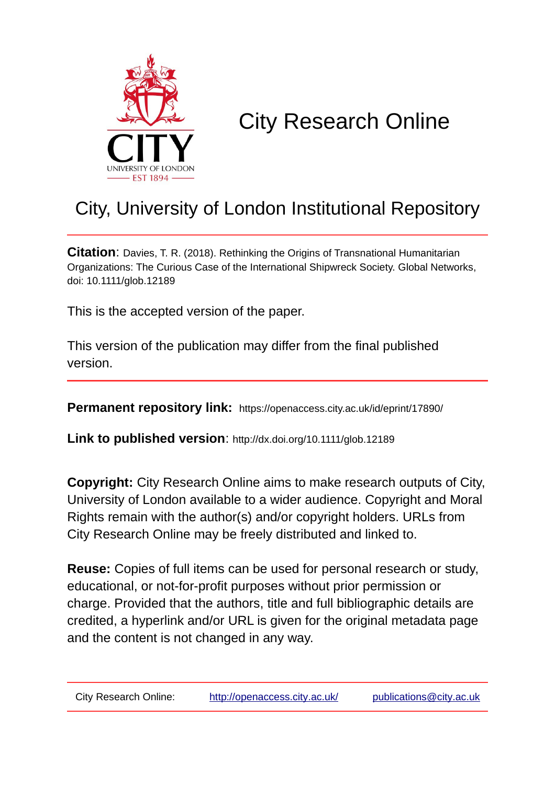

# City Research Online

# City, University of London Institutional Repository

**Citation**: Davies, T. R. (2018). Rethinking the Origins of Transnational Humanitarian Organizations: The Curious Case of the International Shipwreck Society. Global Networks, doi: 10.1111/glob.12189

This is the accepted version of the paper.

This version of the publication may differ from the final published version.

**Permanent repository link:** https://openaccess.city.ac.uk/id/eprint/17890/

**Link to published version**: http://dx.doi.org/10.1111/glob.12189

**Copyright:** City Research Online aims to make research outputs of City, University of London available to a wider audience. Copyright and Moral Rights remain with the author(s) and/or copyright holders. URLs from City Research Online may be freely distributed and linked to.

**Reuse:** Copies of full items can be used for personal research or study, educational, or not-for-profit purposes without prior permission or charge. Provided that the authors, title and full bibliographic details are credited, a hyperlink and/or URL is given for the original metadata page and the content is not changed in any way.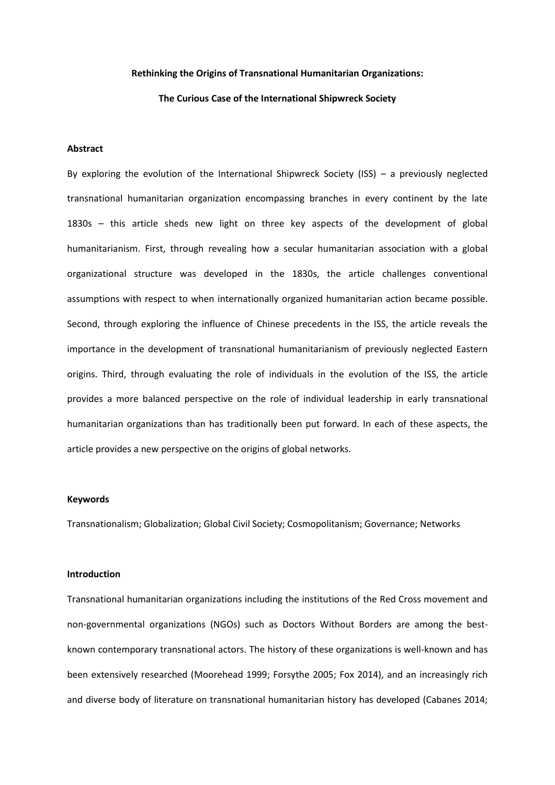#### **Rethinking the Origins of Transnational Humanitarian Organizations:**

### **The Curious Case of the International Shipwreck Society**

## **Abstract**

By exploring the evolution of the International Shipwreck Society (ISS) – a previously neglected transnational humanitarian organization encompassing branches in every continent by the late 1830s – this article sheds new light on three key aspects of the development of global humanitarianism. First, through revealing how a secular humanitarian association with a global organizational structure was developed in the 1830s, the article challenges conventional assumptions with respect to when internationally organized humanitarian action became possible. Second, through exploring the influence of Chinese precedents in the ISS, the article reveals the importance in the development of transnational humanitarianism of previously neglected Eastern origins. Third, through evaluating the role of individuals in the evolution of the ISS, the article provides a more balanced perspective on the role of individual leadership in early transnational humanitarian organizations than has traditionally been put forward. In each of these aspects, the article provides a new perspective on the origins of global networks.

#### **Keywords**

Transnationalism; Globalization; Global Civil Society; Cosmopolitanism; Governance; Networks

#### **Introduction**

Transnational humanitarian organizations including the institutions of the Red Cross movement and non-governmental organizations (NGOs) such as Doctors Without Borders are among the bestknown contemporary transnational actors. The history of these organizations is well-known and has been extensively researched (Moorehead 1999; Forsythe 2005; Fox 2014), and an increasingly rich and diverse body of literature on transnational humanitarian history has developed (Cabanes 2014;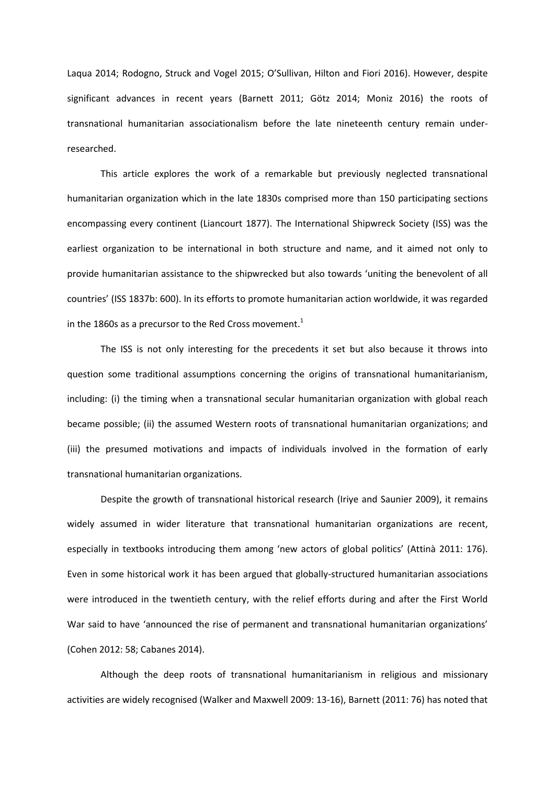Laqua 2014; Rodogno, Struck and Vogel 2015; O'Sullivan, Hilton and Fiori 2016). However, despite significant advances in recent years (Barnett 2011; Götz 2014; Moniz 2016) the roots of transnational humanitarian associationalism before the late nineteenth century remain underresearched.

This article explores the work of a remarkable but previously neglected transnational humanitarian organization which in the late 1830s comprised more than 150 participating sections encompassing every continent (Liancourt 1877). The International Shipwreck Society (ISS) was the earliest organization to be international in both structure and name, and it aimed not only to provide humanitarian assistance to the shipwrecked but also towards 'uniting the benevolent of all countries' (ISS 1837b: 600). In its efforts to promote humanitarian action worldwide, it was regarded in the 1860s as a precursor to the Red Cross movement.<sup>1</sup>

The ISS is not only interesting for the precedents it set but also because it throws into question some traditional assumptions concerning the origins of transnational humanitarianism, including: (i) the timing when a transnational secular humanitarian organization with global reach became possible; (ii) the assumed Western roots of transnational humanitarian organizations; and (iii) the presumed motivations and impacts of individuals involved in the formation of early transnational humanitarian organizations.

Despite the growth of transnational historical research (Iriye and Saunier 2009), it remains widely assumed in wider literature that transnational humanitarian organizations are recent, especially in textbooks introducing them among 'new actors of global politics' (Attinà 2011: 176). Even in some historical work it has been argued that globally-structured humanitarian associations were introduced in the twentieth century, with the relief efforts during and after the First World War said to have 'announced the rise of permanent and transnational humanitarian organizations' (Cohen 2012: 58; Cabanes 2014).

Although the deep roots of transnational humanitarianism in religious and missionary activities are widely recognised (Walker and Maxwell 2009: 13-16), Barnett (2011: 76) has noted that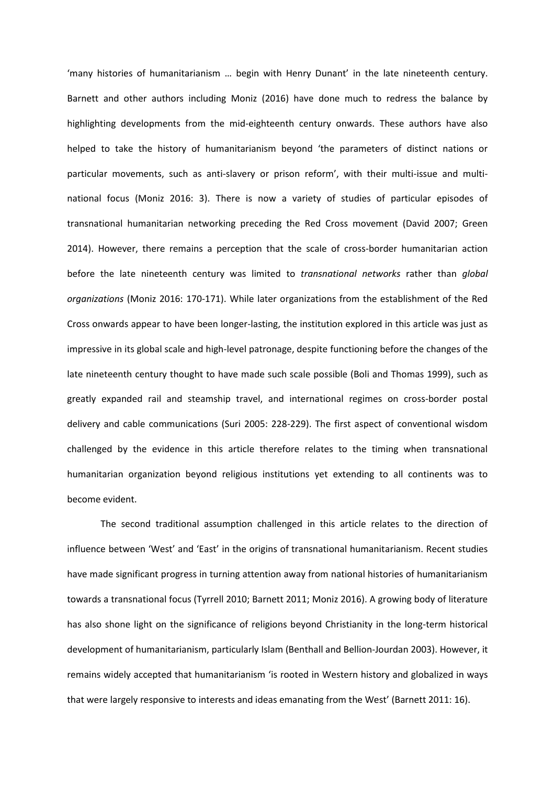'many histories of humanitarianism … begin with Henry Dunant' in the late nineteenth century. Barnett and other authors including Moniz (2016) have done much to redress the balance by highlighting developments from the mid-eighteenth century onwards. These authors have also helped to take the history of humanitarianism beyond 'the parameters of distinct nations or particular movements, such as anti-slavery or prison reform', with their multi-issue and multinational focus (Moniz 2016: 3). There is now a variety of studies of particular episodes of transnational humanitarian networking preceding the Red Cross movement (David 2007; Green 2014). However, there remains a perception that the scale of cross-border humanitarian action before the late nineteenth century was limited to *transnational networks* rather than *global organizations* (Moniz 2016: 170-171). While later organizations from the establishment of the Red Cross onwards appear to have been longer-lasting, the institution explored in this article was just as impressive in its global scale and high-level patronage, despite functioning before the changes of the late nineteenth century thought to have made such scale possible (Boli and Thomas 1999), such as greatly expanded rail and steamship travel, and international regimes on cross-border postal delivery and cable communications (Suri 2005: 228-229). The first aspect of conventional wisdom challenged by the evidence in this article therefore relates to the timing when transnational humanitarian organization beyond religious institutions yet extending to all continents was to become evident.

The second traditional assumption challenged in this article relates to the direction of influence between 'West' and 'East' in the origins of transnational humanitarianism. Recent studies have made significant progress in turning attention away from national histories of humanitarianism towards a transnational focus (Tyrrell 2010; Barnett 2011; Moniz 2016). A growing body of literature has also shone light on the significance of religions beyond Christianity in the long-term historical development of humanitarianism, particularly Islam (Benthall and Bellion-Jourdan 2003). However, it remains widely accepted that humanitarianism 'is rooted in Western history and globalized in ways that were largely responsive to interests and ideas emanating from the West' (Barnett 2011: 16).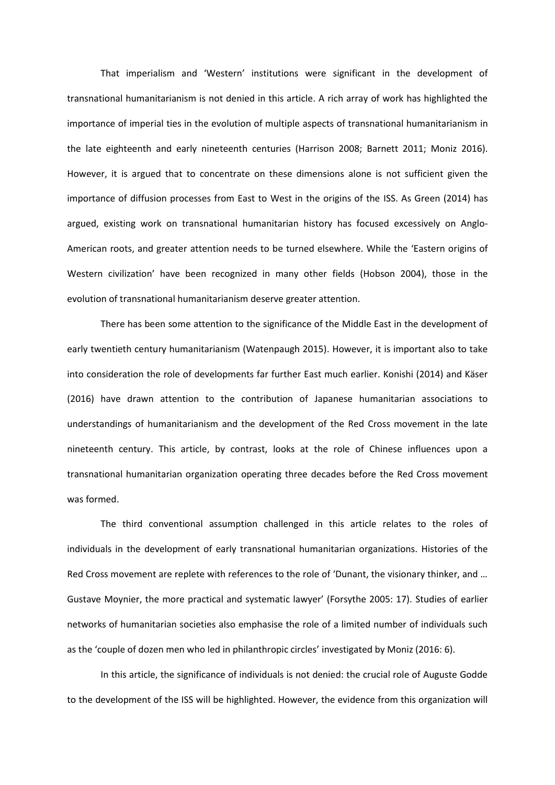That imperialism and 'Western' institutions were significant in the development of transnational humanitarianism is not denied in this article. A rich array of work has highlighted the importance of imperial ties in the evolution of multiple aspects of transnational humanitarianism in the late eighteenth and early nineteenth centuries (Harrison 2008; Barnett 2011; Moniz 2016). However, it is argued that to concentrate on these dimensions alone is not sufficient given the importance of diffusion processes from East to West in the origins of the ISS. As Green (2014) has argued, existing work on transnational humanitarian history has focused excessively on Anglo-American roots, and greater attention needs to be turned elsewhere. While the 'Eastern origins of Western civilization' have been recognized in many other fields (Hobson 2004), those in the evolution of transnational humanitarianism deserve greater attention.

There has been some attention to the significance of the Middle East in the development of early twentieth century humanitarianism (Watenpaugh 2015). However, it is important also to take into consideration the role of developments far further East much earlier. Konishi (2014) and Käser (2016) have drawn attention to the contribution of Japanese humanitarian associations to understandings of humanitarianism and the development of the Red Cross movement in the late nineteenth century. This article, by contrast, looks at the role of Chinese influences upon a transnational humanitarian organization operating three decades before the Red Cross movement was formed.

The third conventional assumption challenged in this article relates to the roles of individuals in the development of early transnational humanitarian organizations. Histories of the Red Cross movement are replete with references to the role of 'Dunant, the visionary thinker, and … Gustave Moynier, the more practical and systematic lawyer' (Forsythe 2005: 17). Studies of earlier networks of humanitarian societies also emphasise the role of a limited number of individuals such as the 'couple of dozen men who led in philanthropic circles' investigated by Moniz (2016: 6).

In this article, the significance of individuals is not denied: the crucial role of Auguste Godde to the development of the ISS will be highlighted. However, the evidence from this organization will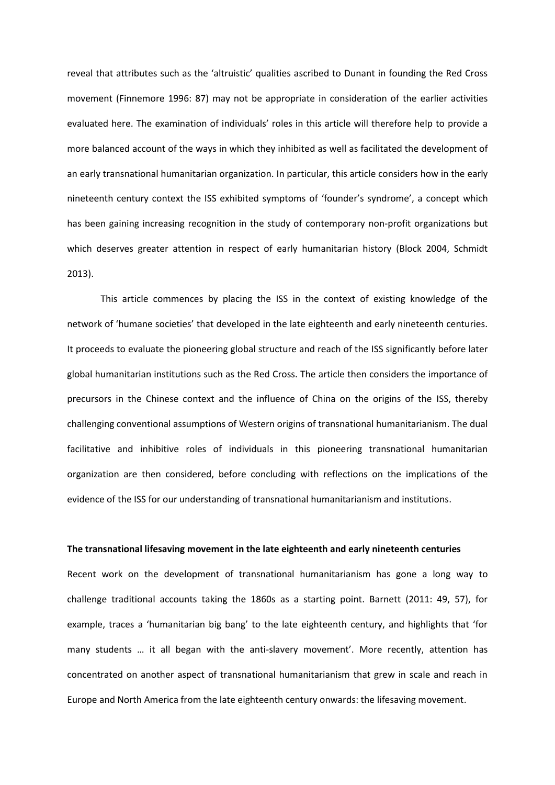reveal that attributes such as the 'altruistic' qualities ascribed to Dunant in founding the Red Cross movement (Finnemore 1996: 87) may not be appropriate in consideration of the earlier activities evaluated here. The examination of individuals' roles in this article will therefore help to provide a more balanced account of the ways in which they inhibited as well as facilitated the development of an early transnational humanitarian organization. In particular, this article considers how in the early nineteenth century context the ISS exhibited symptoms of 'founder's syndrome', a concept which has been gaining increasing recognition in the study of contemporary non-profit organizations but which deserves greater attention in respect of early humanitarian history (Block 2004, Schmidt 2013).

This article commences by placing the ISS in the context of existing knowledge of the network of 'humane societies' that developed in the late eighteenth and early nineteenth centuries. It proceeds to evaluate the pioneering global structure and reach of the ISS significantly before later global humanitarian institutions such as the Red Cross. The article then considers the importance of precursors in the Chinese context and the influence of China on the origins of the ISS, thereby challenging conventional assumptions of Western origins of transnational humanitarianism. The dual facilitative and inhibitive roles of individuals in this pioneering transnational humanitarian organization are then considered, before concluding with reflections on the implications of the evidence of the ISS for our understanding of transnational humanitarianism and institutions.

# **The transnational lifesaving movement in the late eighteenth and early nineteenth centuries**

Recent work on the development of transnational humanitarianism has gone a long way to challenge traditional accounts taking the 1860s as a starting point. Barnett (2011: 49, 57), for example, traces a 'humanitarian big bang' to the late eighteenth century, and highlights that 'for many students … it all began with the anti-slavery movement'. More recently, attention has concentrated on another aspect of transnational humanitarianism that grew in scale and reach in Europe and North America from the late eighteenth century onwards: the lifesaving movement.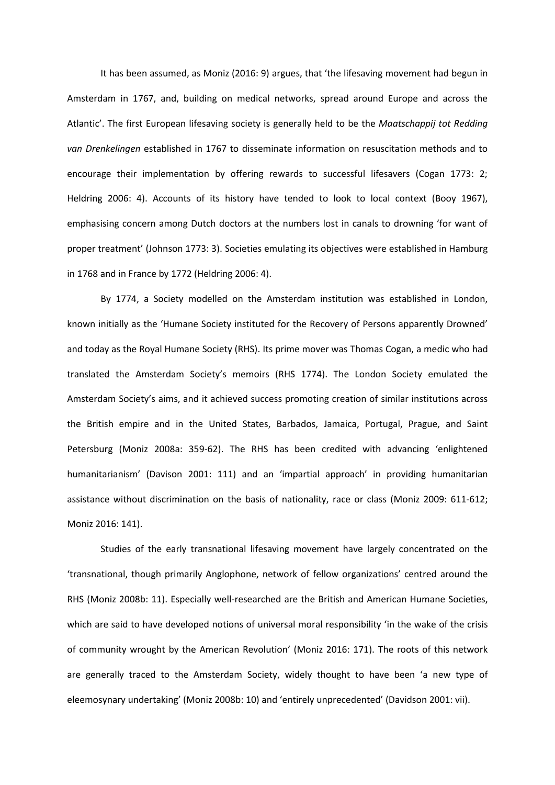It has been assumed, as Moniz (2016: 9) argues, that 'the lifesaving movement had begun in Amsterdam in 1767, and, building on medical networks, spread around Europe and across the Atlantic'. The first European lifesaving society is generally held to be the *Maatschappij tot Redding van Drenkelingen* established in 1767 to disseminate information on resuscitation methods and to encourage their implementation by offering rewards to successful lifesavers (Cogan 1773: 2; Heldring 2006: 4). Accounts of its history have tended to look to local context (Booy 1967), emphasising concern among Dutch doctors at the numbers lost in canals to drowning 'for want of proper treatment' (Johnson 1773: 3). Societies emulating its objectives were established in Hamburg in 1768 and in France by 1772 (Heldring 2006: 4).

By 1774, a Society modelled on the Amsterdam institution was established in London, known initially as the 'Humane Society instituted for the Recovery of Persons apparently Drowned' and today as the Royal Humane Society (RHS). Its prime mover was Thomas Cogan, a medic who had translated the Amsterdam Society's memoirs (RHS 1774). The London Society emulated the Amsterdam Society's aims, and it achieved success promoting creation of similar institutions across the British empire and in the United States, Barbados, Jamaica, Portugal, Prague, and Saint Petersburg (Moniz 2008a: 359-62). The RHS has been credited with advancing 'enlightened humanitarianism' (Davison 2001: 111) and an 'impartial approach' in providing humanitarian assistance without discrimination on the basis of nationality, race or class (Moniz 2009: 611-612; Moniz 2016: 141).

Studies of the early transnational lifesaving movement have largely concentrated on the 'transnational, though primarily Anglophone, network of fellow organizations' centred around the RHS (Moniz 2008b: 11). Especially well-researched are the British and American Humane Societies, which are said to have developed notions of universal moral responsibility 'in the wake of the crisis of community wrought by the American Revolution' (Moniz 2016: 171). The roots of this network are generally traced to the Amsterdam Society, widely thought to have been 'a new type of eleemosynary undertaking' (Moniz 2008b: 10) and 'entirely unprecedented' (Davidson 2001: vii).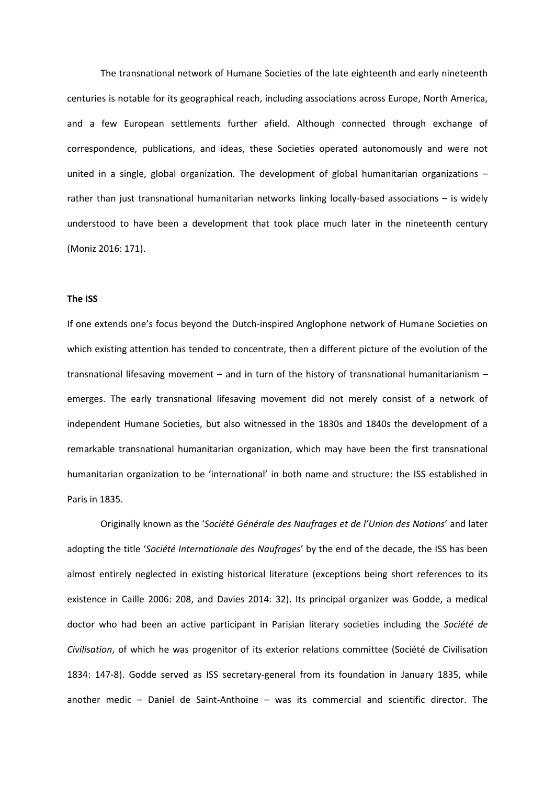The transnational network of Humane Societies of the late eighteenth and early nineteenth centuries is notable for its geographical reach, including associations across Europe, North America, and a few European settlements further afield. Although connected through exchange of correspondence, publications, and ideas, these Societies operated autonomously and were not united in a single, global organization. The development of global humanitarian organizations – rather than just transnational humanitarian networks linking locally-based associations – is widely understood to have been a development that took place much later in the nineteenth century (Moniz 2016: 171).

#### **The ISS**

If one extends one's focus beyond the Dutch-inspired Anglophone network of Humane Societies on which existing attention has tended to concentrate, then a different picture of the evolution of the transnational lifesaving movement – and in turn of the history of transnational humanitarianism – emerges. The early transnational lifesaving movement did not merely consist of a network of independent Humane Societies, but also witnessed in the 1830s and 1840s the development of a remarkable transnational humanitarian organization, which may have been the first transnational humanitarian organization to be 'international' in both name and structure: the ISS established in Paris in 1835.

Originally known as the '*Société Générale des Naufrages et de l'Union des Nations*' and later adopting the title '*Société Internationale des Naufrages*' by the end of the decade, the ISS has been almost entirely neglected in existing historical literature (exceptions being short references to its existence in Caille 2006: 208, and Davies 2014: 32). Its principal organizer was Godde, a medical doctor who had been an active participant in Parisian literary societies including the *Société de Civilisation*, of which he was progenitor of its exterior relations committee (Société de Civilisation 1834: 147-8). Godde served as ISS secretary-general from its foundation in January 1835, while another medic – Daniel de Saint-Anthoine – was its commercial and scientific director. The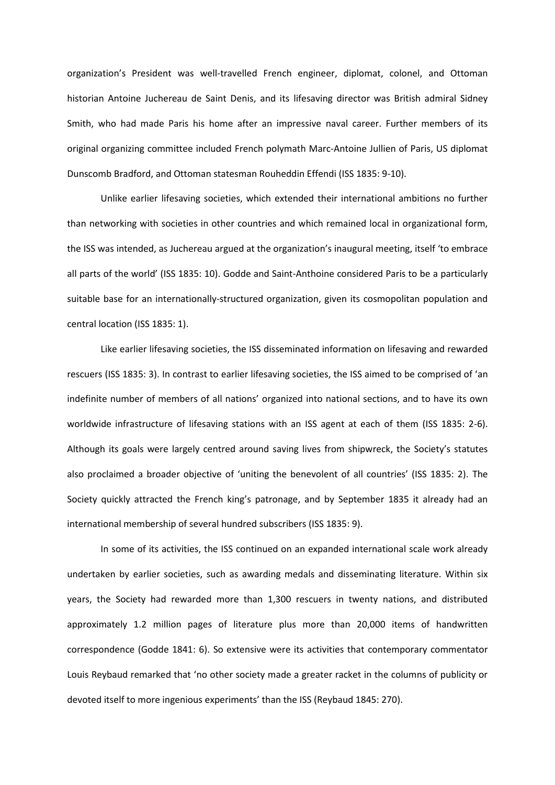organization's President was well-travelled French engineer, diplomat, colonel, and Ottoman historian Antoine Juchereau de Saint Denis, and its lifesaving director was British admiral Sidney Smith, who had made Paris his home after an impressive naval career. Further members of its original organizing committee included French polymath Marc-Antoine Jullien of Paris, US diplomat Dunscomb Bradford, and Ottoman statesman Rouheddin Effendi (ISS 1835: 9-10).

Unlike earlier lifesaving societies, which extended their international ambitions no further than networking with societies in other countries and which remained local in organizational form, the ISS was intended, as Juchereau argued at the organization's inaugural meeting, itself 'to embrace all parts of the world' (ISS 1835: 10). Godde and Saint-Anthoine considered Paris to be a particularly suitable base for an internationally-structured organization, given its cosmopolitan population and central location (ISS 1835: 1).

Like earlier lifesaving societies, the ISS disseminated information on lifesaving and rewarded rescuers (ISS 1835: 3). In contrast to earlier lifesaving societies, the ISS aimed to be comprised of 'an indefinite number of members of all nations' organized into national sections, and to have its own worldwide infrastructure of lifesaving stations with an ISS agent at each of them (ISS 1835: 2-6). Although its goals were largely centred around saving lives from shipwreck, the Society's statutes also proclaimed a broader objective of 'uniting the benevolent of all countries' (ISS 1835: 2). The Society quickly attracted the French king's patronage, and by September 1835 it already had an international membership of several hundred subscribers (ISS 1835: 9).

In some of its activities, the ISS continued on an expanded international scale work already undertaken by earlier societies, such as awarding medals and disseminating literature. Within six years, the Society had rewarded more than 1,300 rescuers in twenty nations, and distributed approximately 1.2 million pages of literature plus more than 20,000 items of handwritten correspondence (Godde 1841: 6). So extensive were its activities that contemporary commentator Louis Reybaud remarked that 'no other society made a greater racket in the columns of publicity or devoted itself to more ingenious experiments' than the ISS (Reybaud 1845: 270).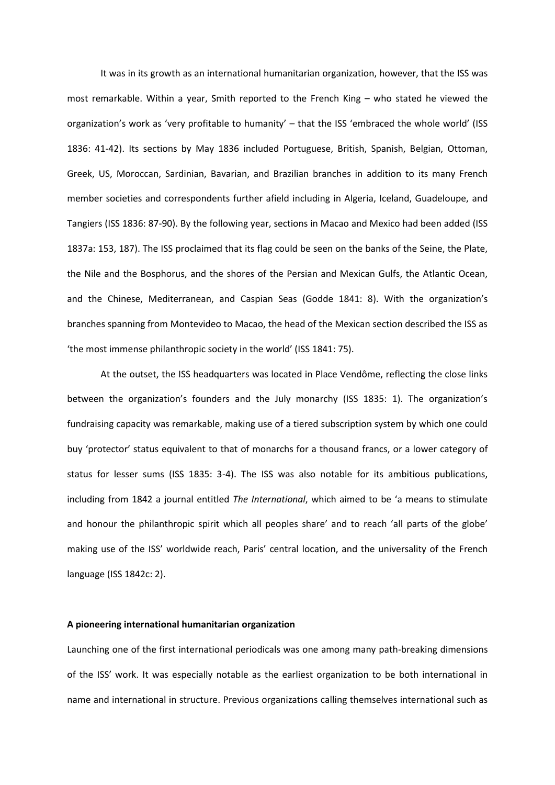It was in its growth as an international humanitarian organization, however, that the ISS was most remarkable. Within a year, Smith reported to the French King – who stated he viewed the organization's work as 'very profitable to humanity' – that the ISS 'embraced the whole world' (ISS 1836: 41-42). Its sections by May 1836 included Portuguese, British, Spanish, Belgian, Ottoman, Greek, US, Moroccan, Sardinian, Bavarian, and Brazilian branches in addition to its many French member societies and correspondents further afield including in Algeria, Iceland, Guadeloupe, and Tangiers (ISS 1836: 87-90). By the following year, sections in Macao and Mexico had been added (ISS 1837a: 153, 187). The ISS proclaimed that its flag could be seen on the banks of the Seine, the Plate, the Nile and the Bosphorus, and the shores of the Persian and Mexican Gulfs, the Atlantic Ocean, and the Chinese, Mediterranean, and Caspian Seas (Godde 1841: 8). With the organization's branches spanning from Montevideo to Macao, the head of the Mexican section described the ISS as 'the most immense philanthropic society in the world' (ISS 1841: 75).

At the outset, the ISS headquarters was located in Place Vendôme, reflecting the close links between the organization's founders and the July monarchy (ISS 1835: 1). The organization's fundraising capacity was remarkable, making use of a tiered subscription system by which one could buy 'protector' status equivalent to that of monarchs for a thousand francs, or a lower category of status for lesser sums (ISS 1835: 3-4). The ISS was also notable for its ambitious publications, including from 1842 a journal entitled *The International*, which aimed to be 'a means to stimulate and honour the philanthropic spirit which all peoples share' and to reach 'all parts of the globe' making use of the ISS' worldwide reach, Paris' central location, and the universality of the French language (ISS 1842c: 2).

#### **A pioneering international humanitarian organization**

Launching one of the first international periodicals was one among many path-breaking dimensions of the ISS' work. It was especially notable as the earliest organization to be both international in name and international in structure. Previous organizations calling themselves international such as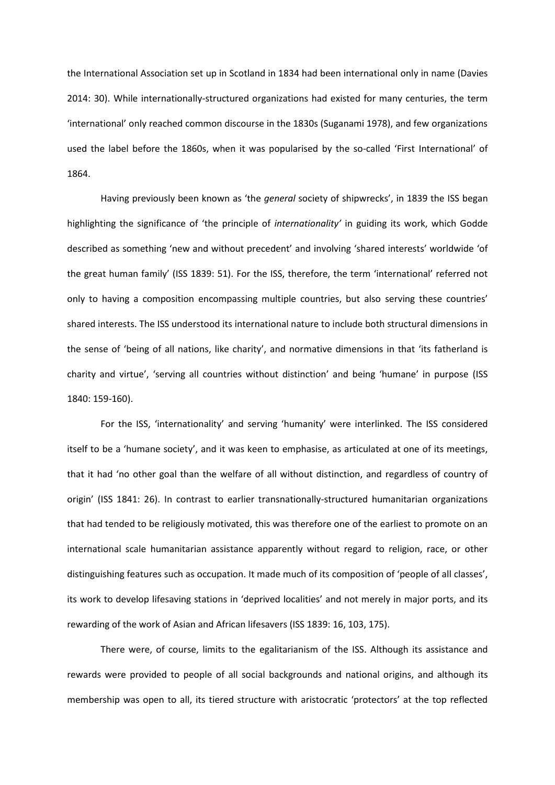the International Association set up in Scotland in 1834 had been international only in name (Davies 2014: 30). While internationally-structured organizations had existed for many centuries, the term 'international' only reached common discourse in the 1830s (Suganami 1978), and few organizations used the label before the 1860s, when it was popularised by the so-called 'First International' of 1864.

Having previously been known as 'the *general* society of shipwrecks', in 1839 the ISS began highlighting the significance of 'the principle of *internationality'* in guiding its work, which Godde described as something 'new and without precedent' and involving 'shared interests' worldwide 'of the great human family' (ISS 1839: 51). For the ISS, therefore, the term 'international' referred not only to having a composition encompassing multiple countries, but also serving these countries' shared interests. The ISS understood its international nature to include both structural dimensions in the sense of 'being of all nations, like charity', and normative dimensions in that 'its fatherland is charity and virtue', 'serving all countries without distinction' and being 'humane' in purpose (ISS 1840: 159-160).

For the ISS, 'internationality' and serving 'humanity' were interlinked. The ISS considered itself to be a 'humane society', and it was keen to emphasise, as articulated at one of its meetings, that it had 'no other goal than the welfare of all without distinction, and regardless of country of origin' (ISS 1841: 26). In contrast to earlier transnationally-structured humanitarian organizations that had tended to be religiously motivated, this was therefore one of the earliest to promote on an international scale humanitarian assistance apparently without regard to religion, race, or other distinguishing features such as occupation. It made much of its composition of 'people of all classes', its work to develop lifesaving stations in 'deprived localities' and not merely in major ports, and its rewarding of the work of Asian and African lifesavers (ISS 1839: 16, 103, 175).

There were, of course, limits to the egalitarianism of the ISS. Although its assistance and rewards were provided to people of all social backgrounds and national origins, and although its membership was open to all, its tiered structure with aristocratic 'protectors' at the top reflected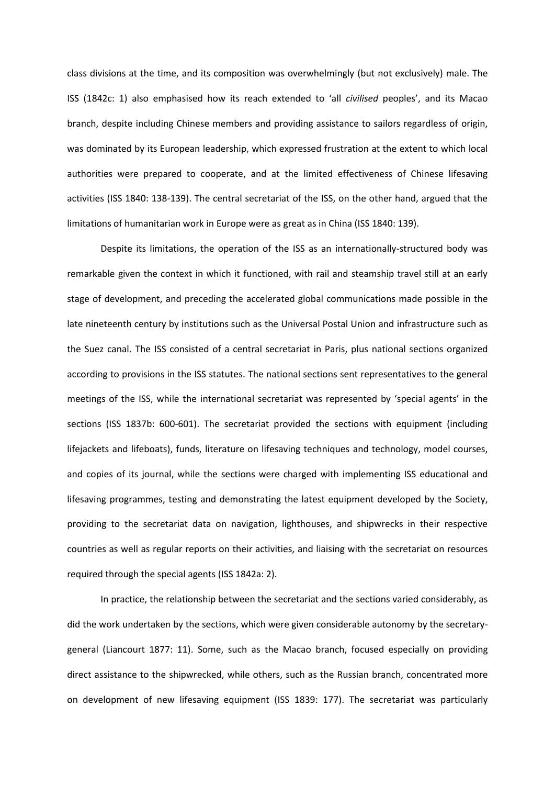class divisions at the time, and its composition was overwhelmingly (but not exclusively) male. The ISS (1842c: 1) also emphasised how its reach extended to 'all *civilised* peoples', and its Macao branch, despite including Chinese members and providing assistance to sailors regardless of origin, was dominated by its European leadership, which expressed frustration at the extent to which local authorities were prepared to cooperate, and at the limited effectiveness of Chinese lifesaving activities (ISS 1840: 138-139). The central secretariat of the ISS, on the other hand, argued that the limitations of humanitarian work in Europe were as great as in China (ISS 1840: 139).

Despite its limitations, the operation of the ISS as an internationally-structured body was remarkable given the context in which it functioned, with rail and steamship travel still at an early stage of development, and preceding the accelerated global communications made possible in the late nineteenth century by institutions such as the Universal Postal Union and infrastructure such as the Suez canal. The ISS consisted of a central secretariat in Paris, plus national sections organized according to provisions in the ISS statutes. The national sections sent representatives to the general meetings of the ISS, while the international secretariat was represented by 'special agents' in the sections (ISS 1837b: 600-601). The secretariat provided the sections with equipment (including lifejackets and lifeboats), funds, literature on lifesaving techniques and technology, model courses, and copies of its journal, while the sections were charged with implementing ISS educational and lifesaving programmes, testing and demonstrating the latest equipment developed by the Society, providing to the secretariat data on navigation, lighthouses, and shipwrecks in their respective countries as well as regular reports on their activities, and liaising with the secretariat on resources required through the special agents (ISS 1842a: 2).

In practice, the relationship between the secretariat and the sections varied considerably, as did the work undertaken by the sections, which were given considerable autonomy by the secretarygeneral (Liancourt 1877: 11). Some, such as the Macao branch, focused especially on providing direct assistance to the shipwrecked, while others, such as the Russian branch, concentrated more on development of new lifesaving equipment (ISS 1839: 177). The secretariat was particularly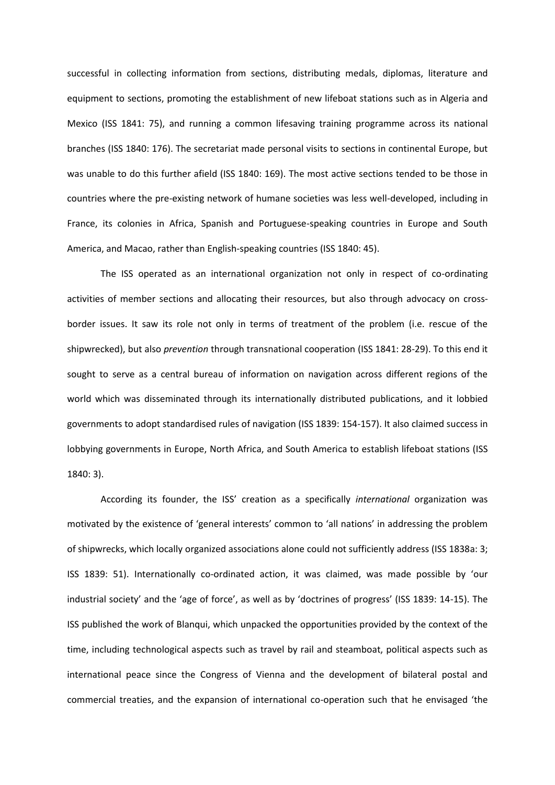successful in collecting information from sections, distributing medals, diplomas, literature and equipment to sections, promoting the establishment of new lifeboat stations such as in Algeria and Mexico (ISS 1841: 75), and running a common lifesaving training programme across its national branches (ISS 1840: 176). The secretariat made personal visits to sections in continental Europe, but was unable to do this further afield (ISS 1840: 169). The most active sections tended to be those in countries where the pre-existing network of humane societies was less well-developed, including in France, its colonies in Africa, Spanish and Portuguese-speaking countries in Europe and South America, and Macao, rather than English-speaking countries (ISS 1840: 45).

The ISS operated as an international organization not only in respect of co-ordinating activities of member sections and allocating their resources, but also through advocacy on crossborder issues. It saw its role not only in terms of treatment of the problem (i.e. rescue of the shipwrecked), but also *prevention* through transnational cooperation (ISS 1841: 28-29). To this end it sought to serve as a central bureau of information on navigation across different regions of the world which was disseminated through its internationally distributed publications, and it lobbied governments to adopt standardised rules of navigation (ISS 1839: 154-157). It also claimed success in lobbying governments in Europe, North Africa, and South America to establish lifeboat stations (ISS 1840: 3).

According its founder, the ISS' creation as a specifically *international* organization was motivated by the existence of 'general interests' common to 'all nations' in addressing the problem of shipwrecks, which locally organized associations alone could not sufficiently address (ISS 1838a: 3; ISS 1839: 51). Internationally co-ordinated action, it was claimed, was made possible by 'our industrial society' and the 'age of force', as well as by 'doctrines of progress' (ISS 1839: 14-15). The ISS published the work of Blanqui, which unpacked the opportunities provided by the context of the time, including technological aspects such as travel by rail and steamboat, political aspects such as international peace since the Congress of Vienna and the development of bilateral postal and commercial treaties, and the expansion of international co-operation such that he envisaged 'the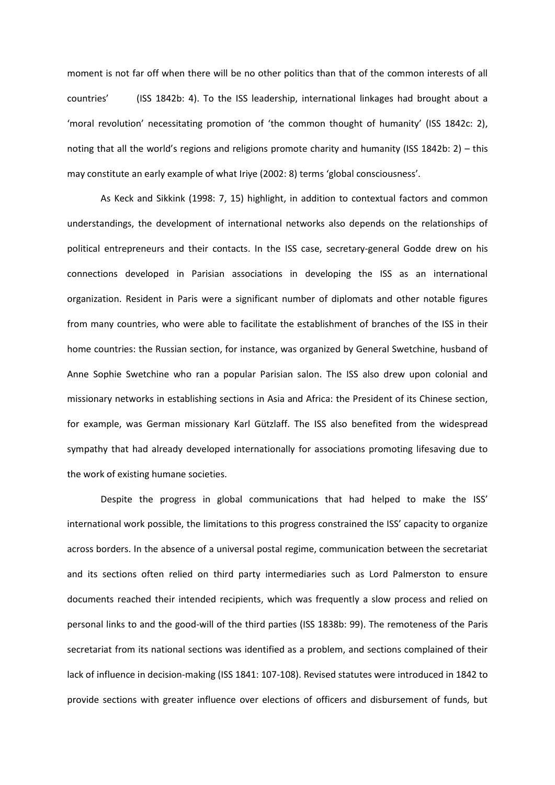moment is not far off when there will be no other politics than that of the common interests of all countries' (ISS 1842b: 4). To the ISS leadership, international linkages had brought about a 'moral revolution' necessitating promotion of 'the common thought of humanity' (ISS 1842c: 2), noting that all the world's regions and religions promote charity and humanity (ISS 1842b: 2) – this may constitute an early example of what Iriye (2002: 8) terms 'global consciousness'.

As Keck and Sikkink (1998: 7, 15) highlight, in addition to contextual factors and common understandings, the development of international networks also depends on the relationships of political entrepreneurs and their contacts. In the ISS case, secretary-general Godde drew on his connections developed in Parisian associations in developing the ISS as an international organization. Resident in Paris were a significant number of diplomats and other notable figures from many countries, who were able to facilitate the establishment of branches of the ISS in their home countries: the Russian section, for instance, was organized by General Swetchine, husband of Anne Sophie Swetchine who ran a popular Parisian salon. The ISS also drew upon colonial and missionary networks in establishing sections in Asia and Africa: the President of its Chinese section, for example, was German missionary Karl Gützlaff. The ISS also benefited from the widespread sympathy that had already developed internationally for associations promoting lifesaving due to the work of existing humane societies.

Despite the progress in global communications that had helped to make the ISS' international work possible, the limitations to this progress constrained the ISS' capacity to organize across borders. In the absence of a universal postal regime, communication between the secretariat and its sections often relied on third party intermediaries such as Lord Palmerston to ensure documents reached their intended recipients, which was frequently a slow process and relied on personal links to and the good-will of the third parties (ISS 1838b: 99). The remoteness of the Paris secretariat from its national sections was identified as a problem, and sections complained of their lack of influence in decision-making (ISS 1841: 107-108). Revised statutes were introduced in 1842 to provide sections with greater influence over elections of officers and disbursement of funds, but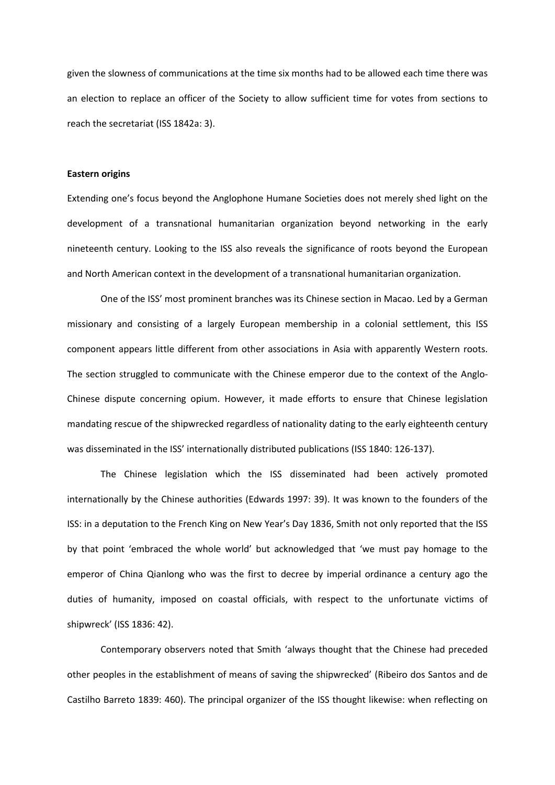given the slowness of communications at the time six months had to be allowed each time there was an election to replace an officer of the Society to allow sufficient time for votes from sections to reach the secretariat (ISS 1842a: 3).

# **Eastern origins**

Extending one's focus beyond the Anglophone Humane Societies does not merely shed light on the development of a transnational humanitarian organization beyond networking in the early nineteenth century. Looking to the ISS also reveals the significance of roots beyond the European and North American context in the development of a transnational humanitarian organization.

One of the ISS' most prominent branches was its Chinese section in Macao. Led by a German missionary and consisting of a largely European membership in a colonial settlement, this ISS component appears little different from other associations in Asia with apparently Western roots. The section struggled to communicate with the Chinese emperor due to the context of the Anglo-Chinese dispute concerning opium. However, it made efforts to ensure that Chinese legislation mandating rescue of the shipwrecked regardless of nationality dating to the early eighteenth century was disseminated in the ISS' internationally distributed publications (ISS 1840: 126-137).

The Chinese legislation which the ISS disseminated had been actively promoted internationally by the Chinese authorities (Edwards 1997: 39). It was known to the founders of the ISS: in a deputation to the French King on New Year's Day 1836, Smith not only reported that the ISS by that point 'embraced the whole world' but acknowledged that 'we must pay homage to the emperor of China Qianlong who was the first to decree by imperial ordinance a century ago the duties of humanity, imposed on coastal officials, with respect to the unfortunate victims of shipwreck' (ISS 1836: 42).

Contemporary observers noted that Smith 'always thought that the Chinese had preceded other peoples in the establishment of means of saving the shipwrecked' (Ribeiro dos Santos and de Castilho Barreto 1839: 460). The principal organizer of the ISS thought likewise: when reflecting on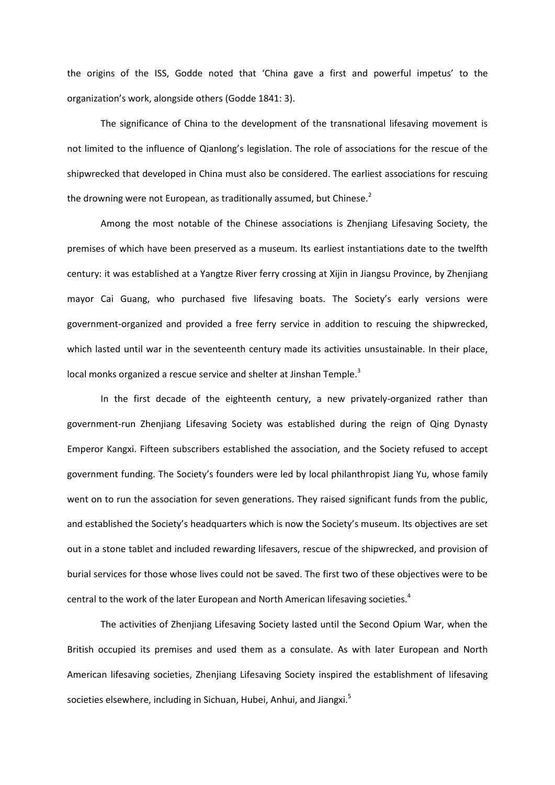the origins of the ISS, Godde noted that 'China gave a first and powerful impetus' to the organization's work, alongside others (Godde 1841: 3).

The significance of China to the development of the transnational lifesaving movement is not limited to the influence of Qianlong's legislation. The role of associations for the rescue of the shipwrecked that developed in China must also be considered. The earliest associations for rescuing the drowning were not European, as traditionally assumed, but Chinese.<sup>2</sup>

Among the most notable of the Chinese associations is Zhenjiang Lifesaving Society, the premises of which have been preserved as a museum. Its earliest instantiations date to the twelfth century: it was established at a Yangtze River ferry crossing at Xijin in Jiangsu Province, by Zhenjiang mayor Cai Guang, who purchased five lifesaving boats. The Society's early versions were government-organized and provided a free ferry service in addition to rescuing the shipwrecked, which lasted until war in the seventeenth century made its activities unsustainable. In their place, local monks organized a rescue service and shelter at Jinshan Temple.<sup>3</sup>

In the first decade of the eighteenth century, a new privately-organized rather than government-run Zhenjiang Lifesaving Society was established during the reign of Qing Dynasty Emperor Kangxi. Fifteen subscribers established the association, and the Society refused to accept government funding. The Society's founders were led by local philanthropist Jiang Yu, whose family went on to run the association for seven generations. They raised significant funds from the public, and established the Society's headquarters which is now the Society's museum. Its objectives are set out in a stone tablet and included rewarding lifesavers, rescue of the shipwrecked, and provision of burial services for those whose lives could not be saved. The first two of these objectives were to be central to the work of the later European and North American lifesaving societies.<sup>4</sup>

The activities of Zhenjiang Lifesaving Society lasted until the Second Opium War, when the British occupied its premises and used them as a consulate. As with later European and North American lifesaving societies, Zhenjiang Lifesaving Society inspired the establishment of lifesaving societies elsewhere, including in Sichuan, Hubei, Anhui, and Jiangxi.<sup>5</sup>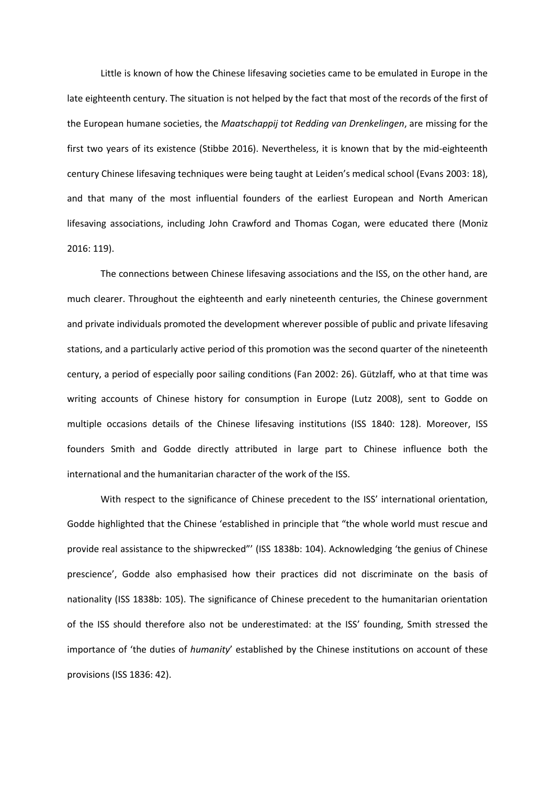Little is known of how the Chinese lifesaving societies came to be emulated in Europe in the late eighteenth century. The situation is not helped by the fact that most of the records of the first of the European humane societies, the *Maatschappij tot Redding van Drenkelingen*, are missing for the first two years of its existence (Stibbe 2016). Nevertheless, it is known that by the mid-eighteenth century Chinese lifesaving techniques were being taught at Leiden's medical school (Evans 2003: 18), and that many of the most influential founders of the earliest European and North American lifesaving associations, including John Crawford and Thomas Cogan, were educated there (Moniz 2016: 119).

The connections between Chinese lifesaving associations and the ISS, on the other hand, are much clearer. Throughout the eighteenth and early nineteenth centuries, the Chinese government and private individuals promoted the development wherever possible of public and private lifesaving stations, and a particularly active period of this promotion was the second quarter of the nineteenth century, a period of especially poor sailing conditions (Fan 2002: 26). Gützlaff, who at that time was writing accounts of Chinese history for consumption in Europe (Lutz 2008), sent to Godde on multiple occasions details of the Chinese lifesaving institutions (ISS 1840: 128). Moreover, ISS founders Smith and Godde directly attributed in large part to Chinese influence both the international and the humanitarian character of the work of the ISS.

With respect to the significance of Chinese precedent to the ISS' international orientation, Godde highlighted that the Chinese 'established in principle that "the whole world must rescue and provide real assistance to the shipwrecked"' (ISS 1838b: 104). Acknowledging 'the genius of Chinese prescience', Godde also emphasised how their practices did not discriminate on the basis of nationality (ISS 1838b: 105). The significance of Chinese precedent to the humanitarian orientation of the ISS should therefore also not be underestimated: at the ISS' founding, Smith stressed the importance of 'the duties of *humanity*' established by the Chinese institutions on account of these provisions (ISS 1836: 42).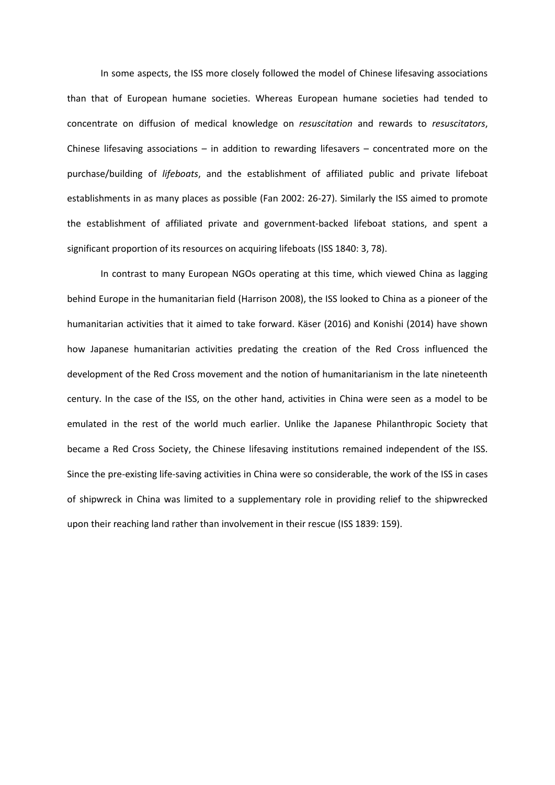In some aspects, the ISS more closely followed the model of Chinese lifesaving associations than that of European humane societies. Whereas European humane societies had tended to concentrate on diffusion of medical knowledge on *resuscitation* and rewards to *resuscitators*, Chinese lifesaving associations – in addition to rewarding lifesavers – concentrated more on the purchase/building of *lifeboats*, and the establishment of affiliated public and private lifeboat establishments in as many places as possible (Fan 2002: 26-27). Similarly the ISS aimed to promote the establishment of affiliated private and government-backed lifeboat stations, and spent a significant proportion of its resources on acquiring lifeboats (ISS 1840: 3, 78).

In contrast to many European NGOs operating at this time, which viewed China as lagging behind Europe in the humanitarian field (Harrison 2008), the ISS looked to China as a pioneer of the humanitarian activities that it aimed to take forward. Käser (2016) and Konishi (2014) have shown how Japanese humanitarian activities predating the creation of the Red Cross influenced the development of the Red Cross movement and the notion of humanitarianism in the late nineteenth century. In the case of the ISS, on the other hand, activities in China were seen as a model to be emulated in the rest of the world much earlier. Unlike the Japanese Philanthropic Society that became a Red Cross Society, the Chinese lifesaving institutions remained independent of the ISS. Since the pre-existing life-saving activities in China were so considerable, the work of the ISS in cases of shipwreck in China was limited to a supplementary role in providing relief to the shipwrecked upon their reaching land rather than involvement in their rescue (ISS 1839: 159).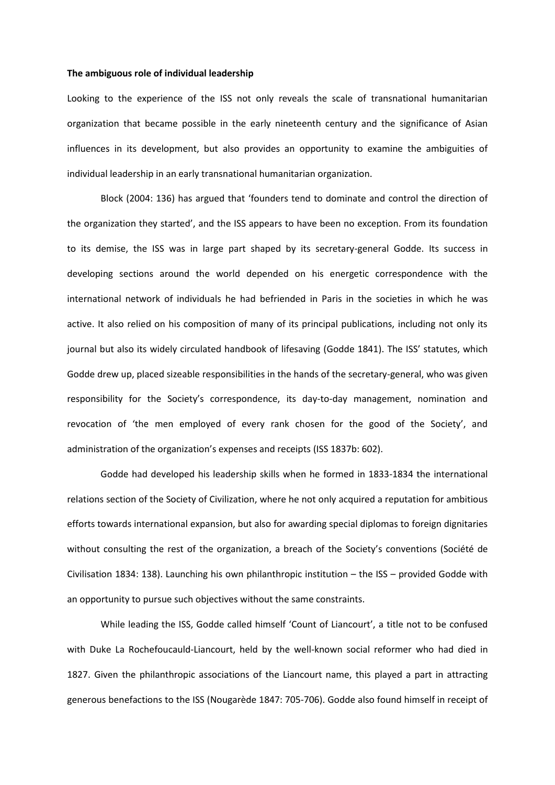#### **The ambiguous role of individual leadership**

Looking to the experience of the ISS not only reveals the scale of transnational humanitarian organization that became possible in the early nineteenth century and the significance of Asian influences in its development, but also provides an opportunity to examine the ambiguities of individual leadership in an early transnational humanitarian organization.

Block (2004: 136) has argued that 'founders tend to dominate and control the direction of the organization they started', and the ISS appears to have been no exception. From its foundation to its demise, the ISS was in large part shaped by its secretary-general Godde. Its success in developing sections around the world depended on his energetic correspondence with the international network of individuals he had befriended in Paris in the societies in which he was active. It also relied on his composition of many of its principal publications, including not only its journal but also its widely circulated handbook of lifesaving (Godde 1841). The ISS' statutes, which Godde drew up, placed sizeable responsibilities in the hands of the secretary-general, who was given responsibility for the Society's correspondence, its day-to-day management, nomination and revocation of 'the men employed of every rank chosen for the good of the Society', and administration of the organization's expenses and receipts (ISS 1837b: 602).

Godde had developed his leadership skills when he formed in 1833-1834 the international relations section of the Society of Civilization, where he not only acquired a reputation for ambitious efforts towards international expansion, but also for awarding special diplomas to foreign dignitaries without consulting the rest of the organization, a breach of the Society's conventions (Société de Civilisation 1834: 138). Launching his own philanthropic institution – the ISS – provided Godde with an opportunity to pursue such objectives without the same constraints.

While leading the ISS, Godde called himself 'Count of Liancourt', a title not to be confused with Duke La Rochefoucauld-Liancourt, held by the well-known social reformer who had died in 1827. Given the philanthropic associations of the Liancourt name, this played a part in attracting generous benefactions to the ISS (Nougarède 1847: 705-706). Godde also found himself in receipt of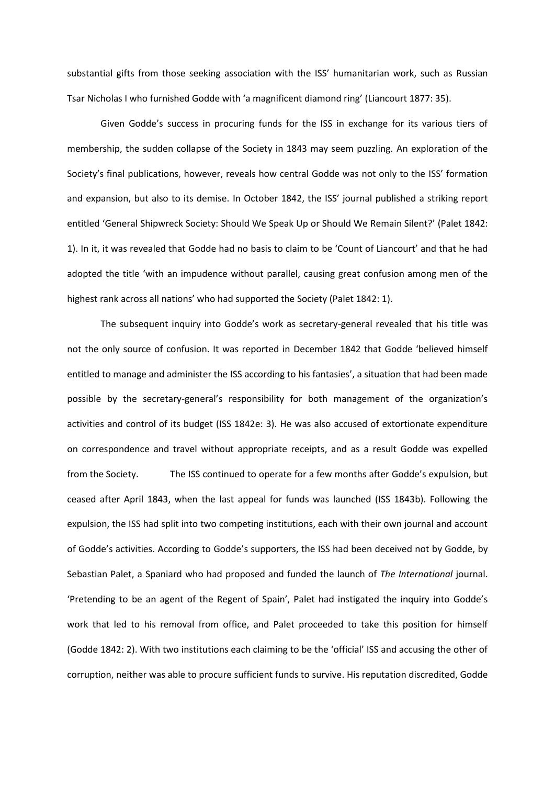substantial gifts from those seeking association with the ISS' humanitarian work, such as Russian Tsar Nicholas I who furnished Godde with 'a magnificent diamond ring' (Liancourt 1877: 35).

Given Godde's success in procuring funds for the ISS in exchange for its various tiers of membership, the sudden collapse of the Society in 1843 may seem puzzling. An exploration of the Society's final publications, however, reveals how central Godde was not only to the ISS' formation and expansion, but also to its demise. In October 1842, the ISS' journal published a striking report entitled 'General Shipwreck Society: Should We Speak Up or Should We Remain Silent?' (Palet 1842: 1). In it, it was revealed that Godde had no basis to claim to be 'Count of Liancourt' and that he had adopted the title 'with an impudence without parallel, causing great confusion among men of the highest rank across all nations' who had supported the Society (Palet 1842: 1).

The subsequent inquiry into Godde's work as secretary-general revealed that his title was not the only source of confusion. It was reported in December 1842 that Godde 'believed himself entitled to manage and administer the ISS according to his fantasies', a situation that had been made possible by the secretary-general's responsibility for both management of the organization's activities and control of its budget (ISS 1842e: 3). He was also accused of extortionate expenditure on correspondence and travel without appropriate receipts, and as a result Godde was expelled from the Society. The ISS continued to operate for a few months after Godde's expulsion, but ceased after April 1843, when the last appeal for funds was launched (ISS 1843b). Following the expulsion, the ISS had split into two competing institutions, each with their own journal and account of Godde's activities. According to Godde's supporters, the ISS had been deceived not by Godde, by Sebastian Palet, a Spaniard who had proposed and funded the launch of *The International* journal. 'Pretending to be an agent of the Regent of Spain', Palet had instigated the inquiry into Godde's work that led to his removal from office, and Palet proceeded to take this position for himself (Godde 1842: 2). With two institutions each claiming to be the 'official' ISS and accusing the other of corruption, neither was able to procure sufficient funds to survive. His reputation discredited, Godde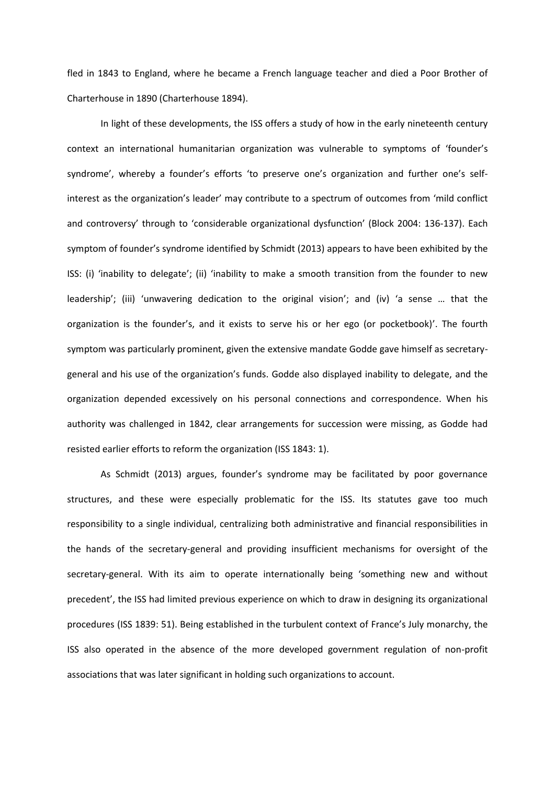fled in 1843 to England, where he became a French language teacher and died a Poor Brother of Charterhouse in 1890 (Charterhouse 1894).

In light of these developments, the ISS offers a study of how in the early nineteenth century context an international humanitarian organization was vulnerable to symptoms of 'founder's syndrome', whereby a founder's efforts 'to preserve one's organization and further one's selfinterest as the organization's leader' may contribute to a spectrum of outcomes from 'mild conflict and controversy' through to 'considerable organizational dysfunction' (Block 2004: 136-137). Each symptom of founder's syndrome identified by Schmidt (2013) appears to have been exhibited by the ISS: (i) 'inability to delegate'; (ii) 'inability to make a smooth transition from the founder to new leadership'; (iii) 'unwavering dedication to the original vision'; and (iv) 'a sense … that the organization is the founder's, and it exists to serve his or her ego (or pocketbook)'. The fourth symptom was particularly prominent, given the extensive mandate Godde gave himself as secretarygeneral and his use of the organization's funds. Godde also displayed inability to delegate, and the organization depended excessively on his personal connections and correspondence. When his authority was challenged in 1842, clear arrangements for succession were missing, as Godde had resisted earlier efforts to reform the organization (ISS 1843: 1).

As Schmidt (2013) argues, founder's syndrome may be facilitated by poor governance structures, and these were especially problematic for the ISS. Its statutes gave too much responsibility to a single individual, centralizing both administrative and financial responsibilities in the hands of the secretary-general and providing insufficient mechanisms for oversight of the secretary-general. With its aim to operate internationally being 'something new and without precedent', the ISS had limited previous experience on which to draw in designing its organizational procedures (ISS 1839: 51). Being established in the turbulent context of France's July monarchy, the ISS also operated in the absence of the more developed government regulation of non-profit associations that was later significant in holding such organizations to account.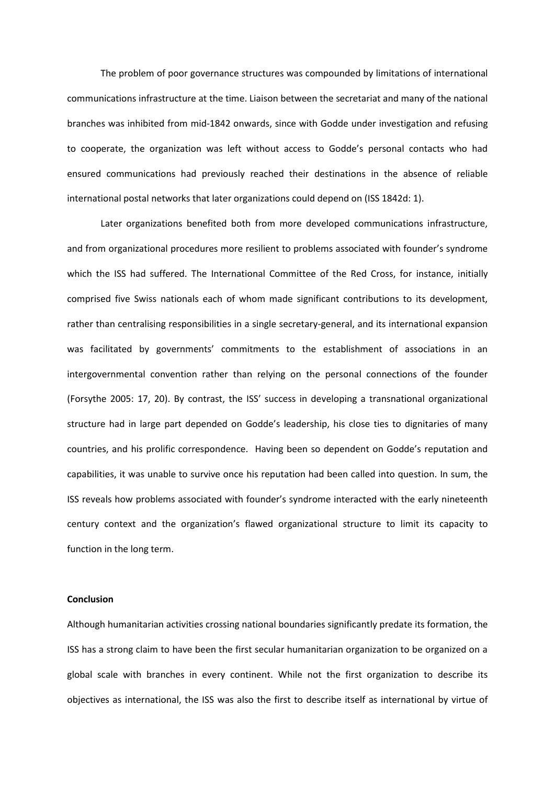The problem of poor governance structures was compounded by limitations of international communications infrastructure at the time. Liaison between the secretariat and many of the national branches was inhibited from mid-1842 onwards, since with Godde under investigation and refusing to cooperate, the organization was left without access to Godde's personal contacts who had ensured communications had previously reached their destinations in the absence of reliable international postal networks that later organizations could depend on (ISS 1842d: 1).

Later organizations benefited both from more developed communications infrastructure, and from organizational procedures more resilient to problems associated with founder's syndrome which the ISS had suffered. The International Committee of the Red Cross, for instance, initially comprised five Swiss nationals each of whom made significant contributions to its development, rather than centralising responsibilities in a single secretary-general, and its international expansion was facilitated by governments' commitments to the establishment of associations in an intergovernmental convention rather than relying on the personal connections of the founder (Forsythe 2005: 17, 20). By contrast, the ISS' success in developing a transnational organizational structure had in large part depended on Godde's leadership, his close ties to dignitaries of many countries, and his prolific correspondence. Having been so dependent on Godde's reputation and capabilities, it was unable to survive once his reputation had been called into question. In sum, the ISS reveals how problems associated with founder's syndrome interacted with the early nineteenth century context and the organization's flawed organizational structure to limit its capacity to function in the long term.

# **Conclusion**

Although humanitarian activities crossing national boundaries significantly predate its formation, the ISS has a strong claim to have been the first secular humanitarian organization to be organized on a global scale with branches in every continent. While not the first organization to describe its objectives as international, the ISS was also the first to describe itself as international by virtue of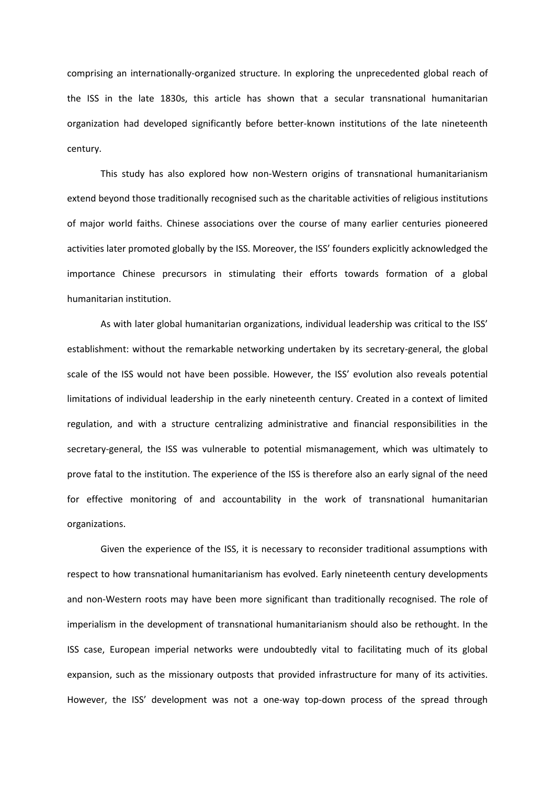comprising an internationally-organized structure. In exploring the unprecedented global reach of the ISS in the late 1830s, this article has shown that a secular transnational humanitarian organization had developed significantly before better-known institutions of the late nineteenth century.

This study has also explored how non-Western origins of transnational humanitarianism extend beyond those traditionally recognised such as the charitable activities of religious institutions of major world faiths. Chinese associations over the course of many earlier centuries pioneered activities later promoted globally by the ISS. Moreover, the ISS' founders explicitly acknowledged the importance Chinese precursors in stimulating their efforts towards formation of a global humanitarian institution.

As with later global humanitarian organizations, individual leadership was critical to the ISS' establishment: without the remarkable networking undertaken by its secretary-general, the global scale of the ISS would not have been possible. However, the ISS' evolution also reveals potential limitations of individual leadership in the early nineteenth century. Created in a context of limited regulation, and with a structure centralizing administrative and financial responsibilities in the secretary-general, the ISS was vulnerable to potential mismanagement, which was ultimately to prove fatal to the institution. The experience of the ISS is therefore also an early signal of the need for effective monitoring of and accountability in the work of transnational humanitarian organizations.

Given the experience of the ISS, it is necessary to reconsider traditional assumptions with respect to how transnational humanitarianism has evolved. Early nineteenth century developments and non-Western roots may have been more significant than traditionally recognised. The role of imperialism in the development of transnational humanitarianism should also be rethought. In the ISS case, European imperial networks were undoubtedly vital to facilitating much of its global expansion, such as the missionary outposts that provided infrastructure for many of its activities. However, the ISS' development was not a one-way top-down process of the spread through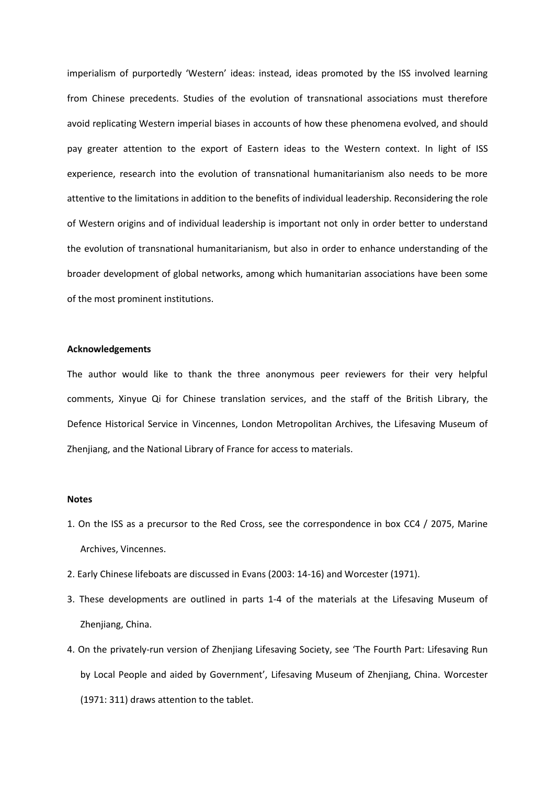imperialism of purportedly 'Western' ideas: instead, ideas promoted by the ISS involved learning from Chinese precedents. Studies of the evolution of transnational associations must therefore avoid replicating Western imperial biases in accounts of how these phenomena evolved, and should pay greater attention to the export of Eastern ideas to the Western context. In light of ISS experience, research into the evolution of transnational humanitarianism also needs to be more attentive to the limitations in addition to the benefits of individual leadership. Reconsidering the role of Western origins and of individual leadership is important not only in order better to understand the evolution of transnational humanitarianism, but also in order to enhance understanding of the broader development of global networks, among which humanitarian associations have been some of the most prominent institutions.

#### **Acknowledgements**

The author would like to thank the three anonymous peer reviewers for their very helpful comments, Xinyue Qi for Chinese translation services, and the staff of the British Library, the Defence Historical Service in Vincennes, London Metropolitan Archives, the Lifesaving Museum of Zhenjiang, and the National Library of France for access to materials.

#### **Notes**

- 1. On the ISS as a precursor to the Red Cross, see the correspondence in box CC4 / 2075, Marine Archives, Vincennes.
- 2. Early Chinese lifeboats are discussed in Evans (2003: 14-16) and Worcester (1971).
- 3. These developments are outlined in parts 1-4 of the materials at the Lifesaving Museum of Zhenjiang, China.
- 4. On the privately-run version of Zhenjiang Lifesaving Society, see 'The Fourth Part: Lifesaving Run by Local People and aided by Government', Lifesaving Museum of Zhenjiang, China. Worcester (1971: 311) draws attention to the tablet.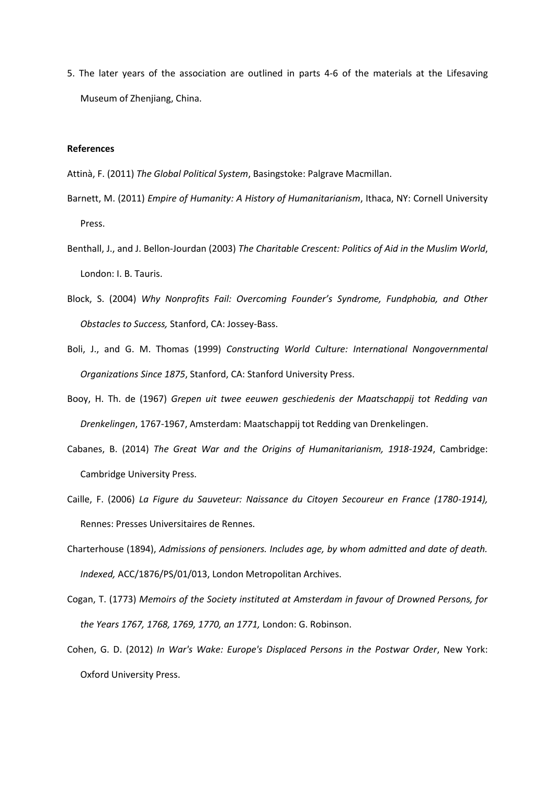5. The later years of the association are outlined in parts 4-6 of the materials at the Lifesaving Museum of Zhenjiang, China.

# **References**

- Attinà, F. (2011) *The Global Political System*, Basingstoke: Palgrave Macmillan.
- Barnett, M. (2011) *Empire of Humanity: A History of Humanitarianism*, Ithaca, NY: Cornell University Press.
- Benthall, J., and J. Bellon-Jourdan (2003) *The Charitable Crescent: Politics of Aid in the Muslim World*, London: I. B. Tauris.
- Block, S. (2004) *Why Nonprofits Fail: Overcoming Founder's Syndrome, Fundphobia, and Other Obstacles to Success,* Stanford, CA: Jossey-Bass.
- Boli, J., and G. M. Thomas (1999) *Constructing World Culture: nternational Nongovernmental*  **Organizations Since 1875, Stanford, CA: Stanford University Press.**
- Booy, H. Th. de (1967) *Grepen uit twee eeuwen geschiedenis der Maatschappij tot Redding van Drenkelingen*, 1767-1967, Amsterdam: Maatschappij tot Redding van Drenkelingen.
- Cabanes, B. (2014) *The Great War and the Origins of Humanitarianism, 1918-1924*, Cambridge: Cambridge University Press.
- Caille, F. (2006) *La Figure du Sauveteur: Naissance du Citoyen Secoureur en France (1780-1914),*  Rennes: Presses Universitaires de Rennes.
- Charterhouse (1894), *Admissions of pensioners. Includes age, by whom admitted and date of death. Indexed,* ACC/1876/PS/01/013, London Metropolitan Archives.
- Cogan, T. (1773) *Memoirs of the Society instituted at Amsterdam in favour of Drowned Persons, for the Years 1767, 1768, 1769, 1770, an 1771,* London: G. Robinson.
- Cohen, G. D. (2012) *In War's Wake: Europe's Displaced Persons in the Postwar Order*, New York: Oxford University Press.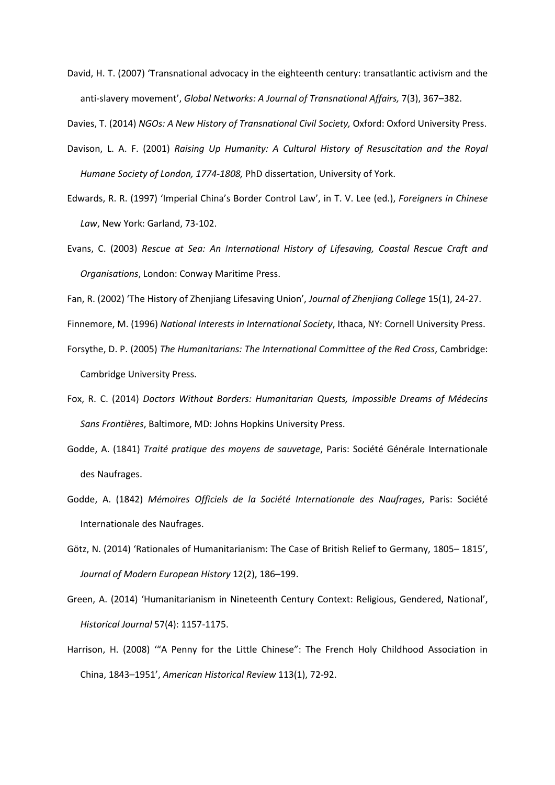David, H. T. (2007) 'Transnational advocacy in the eighteenth century: transatlantic activism and the anti-slavery movement', *Global Networks: A Journal of Transnational Affairs,* 7(3), 367–382.

Davies, T. (2014) *NGOs: A New History of Transnational Civil Society,* Oxford: Oxford University Press.

- Davison, L. A. F. (2001) *Raising Up Humanity: A Cultural History of Resuscitation and the Royal Humane Society of London, 1774-1808,* PhD dissertation, University of York.
- Edwards, R. R. (1997) 'Imperial China's Border Control Law', in T. V. Lee (ed.), *Foreigners in Chinese Law*, New York: Garland, 73-102.
- Evans, C. (2003) *Rescue at Sea: An International History of Lifesaving, Coastal Rescue Craft and Organisations*, London: Conway Maritime Press.
- Fan, R. (2002) 'The History of Zhenjiang Lifesaving Union', *Journal of Zhenjiang College* 15(1), 24-27.

Finnemore, M. (1996) *National Interests in International Society*, Ithaca, NY: Cornell University Press.

- Forsythe, D. P. (2005) *The Humanitarians: The International Committee of the Red Cross*, Cambridge: Cambridge University Press.
- Fox, R. C. (2014) *Doctors Without Borders: Humanitarian Quests, Impossible Dreams of Médecins Sans Frontières*, Baltimore, MD: Johns Hopkins University Press.
- Godde, A. (1841) *Traité pratique des moyens de sauvetage*, Paris: Société Générale Internationale des Naufrages.
- Godde, A. (1842) *Mémoires Officiels de la Société Internationale des Naufrages*, Paris: Société Internationale des Naufrages.
- Götz, N. (2014) 'Rationales of Humanitarianism: The Case of British Relief to Germany, 1805– 1815', *Journal of Modern European History* 12(2), 186–199.
- Green, A. (2014) 'Humanitarianism in Nineteenth Century Context: Religious, Gendered, National', *Historical Journal* 57(4): 1157-1175.
- Harrison, H. (2008) '"A Penny for the Little Chinese": The French Holy Childhood Association in China, 1843–1951', *American Historical Review* 113(1), 72-92.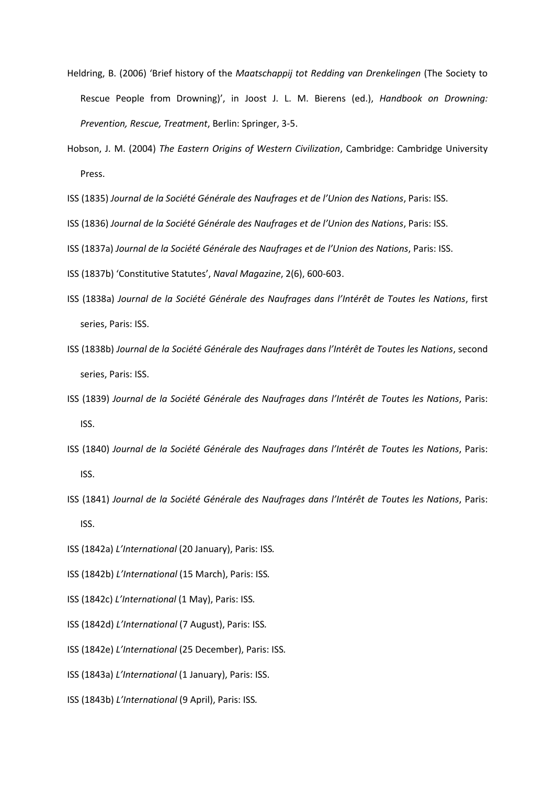- Heldring, B. (2006) 'Brief history of the *Maatschappij tot Redding van Drenkelingen* (The Society to Rescue People from Drowning)', in Joost J. L. M. Bierens (ed.), *Handbook on Drowning: Prevention, Rescue, Treatment*, Berlin: Springer, 3-5.
- Hobson, J. M. (2004) *The Eastern Origins of Western Civilization*, Cambridge: Cambridge University Press.
- ISS (1835) *Journal de la Société Générale des Naufrages et de l'Union des Nations*, Paris: ISS.
- ISS (1836) *Journal de la Société Générale des Naufrages et de l'Union des Nations*, Paris: ISS.
- ISS (1837a) *Journal de la Société Générale des Naufrages et de l'Union des Nations*, Paris: ISS.
- ISS (1837b) 'Constitutive Statutes', *Naval Magazine*, 2(6), 600-603.
- ISS (1838a) *Journal de la Société Générale des Naufrages dans l' ntérêt de Toutes les Nations*, first series, Paris: ISS.
- ISS (1838b) *Journal de la Société Générale des Naufrages dans l' ntérêt de Toutes les Nations*, second series, Paris: ISS.
- ISS (1839) *Journal de la Société Générale des Naufrages dans l' ntérêt de Toutes les Nations*, Paris: ISS.
- ISS (1840) *Journal de la Société Générale des Naufrages dans l' ntérêt de Toutes les Nations*, Paris: ISS.
- ISS (1841) *Journal de la Société Générale des Naufrages dans l' ntérêt de Toutes les Nations*, Paris: ISS.
- ISS (1842a) *L' nternational* (20 January), Paris: ISS*.*
- ISS (1842b) *L' nternational* (15 March), Paris: ISS*.*
- ISS (1842c) *L' nternational* (1 May), Paris: ISS*.*
- ISS (1842d) *L' nternational* (7 August), Paris: ISS*.*
- ISS (1842e) *L' nternational* (25 December), Paris: ISS*.*
- ISS (1843a) *L' nternational* (1 January), Paris: ISS.
- ISS (1843b) *L' nternational* (9 April), Paris: ISS*.*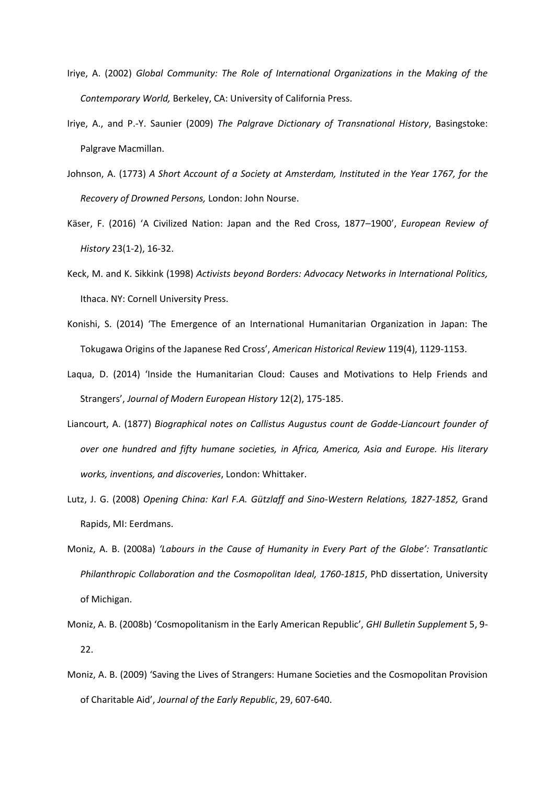- Iriye, A. (2002) *Global Community: The Role of International Organizations in the Making of the Contemporary World,* Berkeley, CA: University of California Press.
- Iriye, A., and P.-Y. Saunier (2009) *The Palgrave Dictionary of Transnational History*, Basingstoke: Palgrave Macmillan.
- Johnson, A. (1773) *A Short Account of a Society at Amsterdam, Instituted in the Year 1767, for the Recovery of Drowned Persons,* London: John Nourse.
- Käser, F. (2016) 'A Civilized Nation: Japan and the Red Cross, 1877–1900', *European Review of History* 23(1-2), 16-32.
- Keck, M. and K. Sikkink (1998) *Activists beyond Borders: Advocacy Networks in International Politics,*  Ithaca. NY: Cornell University Press.
- Konishi, S. (2014) 'The Emergence of an International Humanitarian Organization in Japan: The Tokugawa Origins of the Japanese Red Cross', *American Historical Review* 119(4), 1129-1153.
- Laqua, D. (2014) 'Inside the Humanitarian Cloud: Causes and Motivations to Help Friends and Strangers', *Journal of Modern European History* 12(2), 175-185.
- Liancourt, A. (1877) *Biographical notes on Callistus Augustus count de Godde-Liancourt founder of over one hundred and fifty humane societies, in Africa, America, Asia and Europe. His literary works, inventions, and discoveries*, London: Whittaker.
- Lutz, J. G. (2008) *Opening China: Karl F.A. Gützlaff and Sino-Western Relations, 1827-1852,* Grand Rapids, MI: Eerdmans.
- Moniz, A. B. (2008a) *'Labours in the Cause of Humanity in Every Part of the Globe': Transatlantic Philanthropic Collaboration and the Cosmopolitan Ideal, 1760-1815*, PhD dissertation, University of Michigan.
- Moniz, A. B. (2008b) 'Cosmopolitanism in the Early American Republic', *GHI Bulletin Supplement* 5, 9- 22.
- Moniz, A. B. (2009) 'Saving the Lives of Strangers: Humane Societies and the Cosmopolitan Provision of Charitable Aid', *Journal of the Early Republic*, 29, 607-640.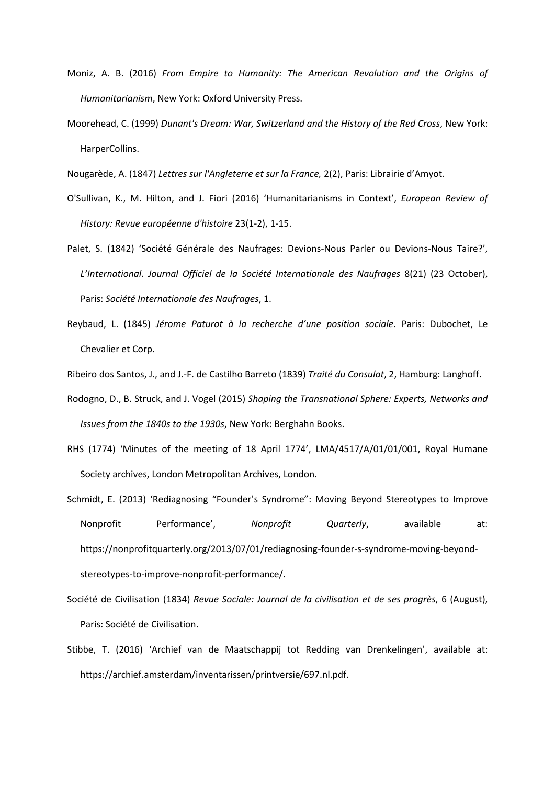- Moniz, A. B. (2016) *From Empire to Humanity: The American Revolution and the Origins of Humanitarianism*, New York: Oxford University Press.
- Moorehead, C. (1999) *Dunant's Dream: War, Switzerland and the History of the Red Cross*, New York: HarperCollins.
- Nougarède, A. (1847) *Lettres sur l'Angleterre et sur la France,* 2(2), Paris: Librairie d'Amyot.
- O'Sullivan, K., M. Hilton, and J. Fiori (2016) 'Humanitarianisms in Context', *European Review of History: Revue européenne d'histoire* 23(1-2), 1-15.
- Palet, S. (1842) 'Société Générale des Naufrages: Devions-Nous Parler ou Devions-Nous Taire?', L'International. Journal Officiel de la Société Internationale des Naufrages 8(21) (23 October), Paris: *Société Internationale des Naufrages*, 1.
- Reybaud, L. (1845) *Jérome Paturot à la recherche d'une position sociale*. Paris: Dubochet, Le Chevalier et Corp.
- Ribeiro dos Santos, J., and J.-F. de Castilho Barreto (1839) *Traité du Consulat*, 2, Hamburg: Langhoff.
- Rodogno, D., B. Struck, and J. Vogel (2015) *Shaping the Transnational Sphere: Experts, Networks and Issues from the 1840s to the 1930s*, New York: Berghahn Books.
- RHS (1774) 'Minutes of the meeting of 18 April 1774', LMA/4517/A/01/01/001, Royal Humane Society archives, London Metropolitan Archives, London.
- Schmidt, E. (2013) 'Rediagnosing "Founder's Syndrome": Moving Beyond Stereotypes to Improve Nonprofit Performance', *Nonprofit Quarterly*, available at: https://nonprofitquarterly.org/2013/07/01/rediagnosing-founder-s-syndrome-moving-beyondstereotypes-to-improve-nonprofit-performance/.
- Société de Civilisation (1834) *Revue Sociale: Journal de la civilisation et de ses progrès*, 6 (August), Paris: Société de Civilisation.
- Stibbe, T. (2016) 'Archief van de Maatschappij tot Redding van Drenkelingen', available at: https://archief.amsterdam/inventarissen/printversie/697.nl.pdf.